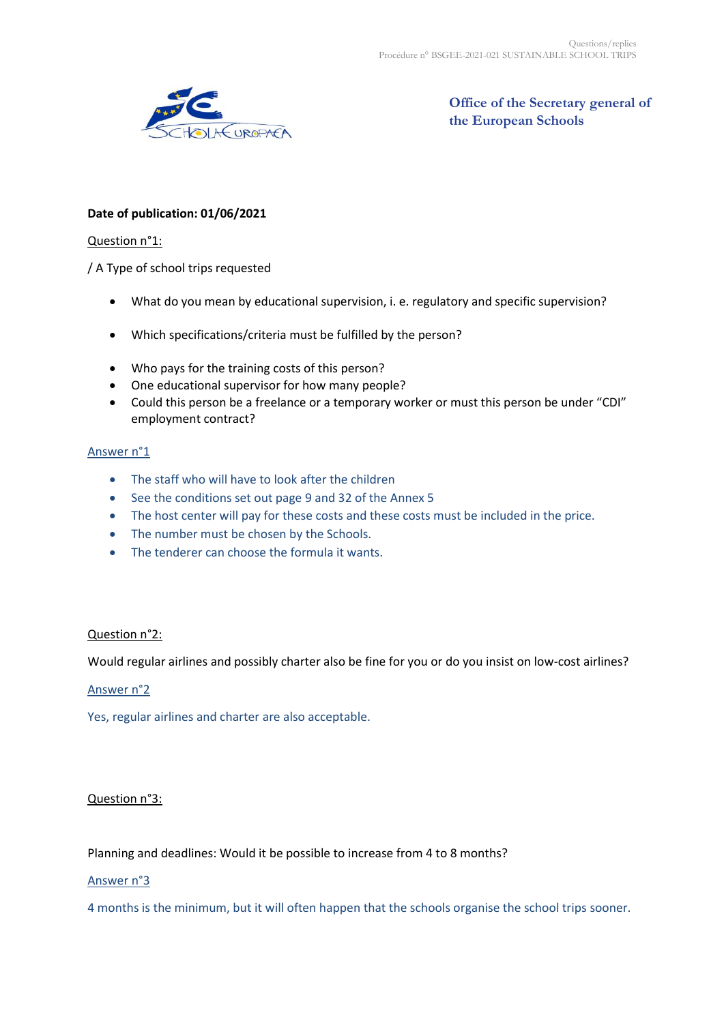

**Office of the Secretary general of the European Schools**

# **Date of publication: 01/06/2021**

#### Question n°1:

/ A Type of school trips requested

- What do you mean by educational supervision, i. e. regulatory and specific supervision?
- Which specifications/criteria must be fulfilled by the person?
- Who pays for the training costs of this person?
- One educational supervisor for how many people?
- Could this person be a freelance or a temporary worker or must this person be under "CDI" employment contract?

#### Answer n°1

- The staff who will have to look after the children
- See the conditions set out page 9 and 32 of the Annex 5
- The host center will pay for these costs and these costs must be included in the price.
- The number must be chosen by the Schools.
- The tenderer can choose the formula it wants.

### Question n°2:

Would regular airlines and possibly charter also be fine for you or do you insist on low-cost airlines?

#### Answer n°2

Yes, regular airlines and charter are also acceptable.

### Question n°3:

Planning and deadlines: Would it be possible to increase from 4 to 8 months?

#### Answer n°3

4 months is the minimum, but it will often happen that the schools organise the school trips sooner.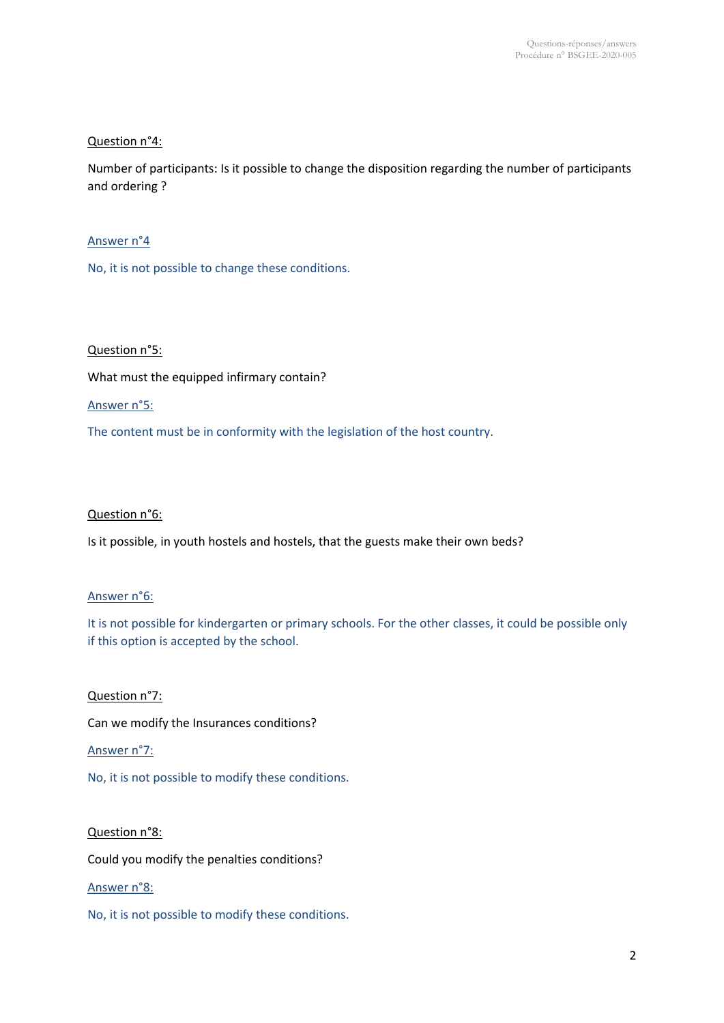# Question n°4:

Number of participants: Is it possible to change the disposition regarding the number of participants and ordering ?

# Answer n°4

No, it is not possible to change these conditions.

# Question n°5:

What must the equipped infirmary contain?

## Answer n°5:

The content must be in conformity with the legislation of the host country.

### Question n°6:

Is it possible, in youth hostels and hostels, that the guests make their own beds?

# Answer n°6:

It is not possible for kindergarten or primary schools. For the other classes, it could be possible only if this option is accepted by the school.

Question n°7:

Can we modify the Insurances conditions?

## Answer n°7:

No, it is not possible to modify these conditions.

### Question n°8:

Could you modify the penalties conditions?

### Answer n°8:

No, it is not possible to modify these conditions.